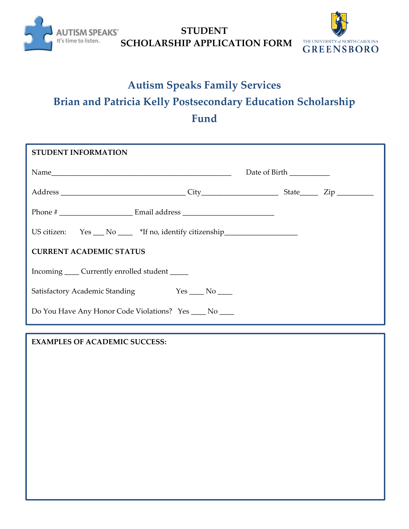

**STUDENT SCHOLARSHIP APPLICATION FORM**



## **Autism Speaks Family Services Brian and Patricia Kelly Postsecondary Education Scholarship Fund**

| <b>STUDENT INFORMATION</b>                                 |  |                          |  |
|------------------------------------------------------------|--|--------------------------|--|
|                                                            |  | Date of Birth __________ |  |
|                                                            |  |                          |  |
|                                                            |  |                          |  |
| US citizen: $Yes \_\_No \_\_$ *If no, identify citizenship |  |                          |  |
| <b>CURRENT ACADEMIC STATUS</b>                             |  |                          |  |
| Incoming ______ Currently enrolled student ______          |  |                          |  |
| Satisfactory Academic Standing Yes No No                   |  |                          |  |
| Do You Have Any Honor Code Violations? Yes ____ No ____    |  |                          |  |

**EXAMPLES OF ACADEMIC SUCCESS:**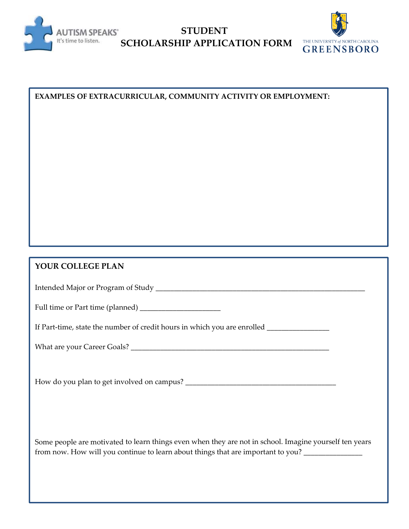

**STUDENT SCHOLARSHIP APPLICATION FORM**



| EXAMPLES OF EXTRACURRICULAR, COMMUNITY ACTIVITY OR EMPLOYMENT:                                                                                                                                                |  |  |
|---------------------------------------------------------------------------------------------------------------------------------------------------------------------------------------------------------------|--|--|
|                                                                                                                                                                                                               |  |  |
|                                                                                                                                                                                                               |  |  |
|                                                                                                                                                                                                               |  |  |
|                                                                                                                                                                                                               |  |  |
|                                                                                                                                                                                                               |  |  |
|                                                                                                                                                                                                               |  |  |
|                                                                                                                                                                                                               |  |  |
|                                                                                                                                                                                                               |  |  |
|                                                                                                                                                                                                               |  |  |
|                                                                                                                                                                                                               |  |  |
|                                                                                                                                                                                                               |  |  |
| YOUR COLLEGE PLAN                                                                                                                                                                                             |  |  |
|                                                                                                                                                                                                               |  |  |
|                                                                                                                                                                                                               |  |  |
| If Part-time, state the number of credit hours in which you are enrolled ___________________________                                                                                                          |  |  |
|                                                                                                                                                                                                               |  |  |
|                                                                                                                                                                                                               |  |  |
|                                                                                                                                                                                                               |  |  |
|                                                                                                                                                                                                               |  |  |
|                                                                                                                                                                                                               |  |  |
|                                                                                                                                                                                                               |  |  |
|                                                                                                                                                                                                               |  |  |
| Some people are motivated to learn things even when they are not in school. Imagine yourself ten years<br>from now. How will you continue to learn about things that are important to you? __________________ |  |  |
|                                                                                                                                                                                                               |  |  |
|                                                                                                                                                                                                               |  |  |